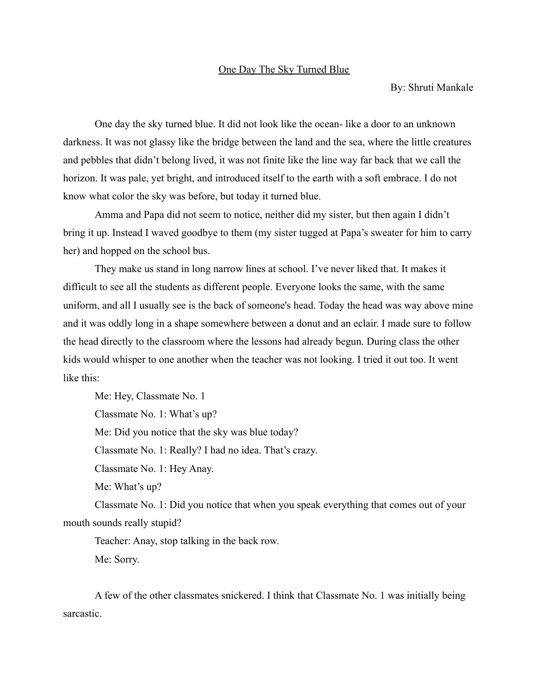## One Day The Sky Turned Blue

By: Shruti Mankale

One day the sky turned blue. It did not look like the ocean- like a door to an unknown darkness. It was not glassy like the bridge between the land and the sea, where the little creatures and pebbles that didn't belong lived, it was not finite like the line way far back that we call the horizon. It was pale, yet bright, and introduced itself to the earth with a soft embrace. I do not know what color the sky was before, but today it turned blue.

Amma and Papa did not seem to notice, neither did my sister, but then again I didn't bring it up. Instead I waved goodbye to them (my sister tugged at Papa's sweater for him to carry her) and hopped on the school bus.

They make us stand in long narrow lines at school. I've never liked that. It makes it difficult to see all the students as different people. Everyone looks the same, with the same uniform, and all I usually see is the back of someone's head. Today the head was way above mine and it was oddly long in a shape somewhere between a donut and an eclair. I made sure to follow the head directly to the classroom where the lessons had already begun. During class the other kids would whisper to one another when the teacher was not looking. I tried it out too. It went like this:

Me: Hey, Classmate No. 1 Classmate No. 1: What's up?

Me: Did you notice that the sky was blue today?

Classmate No. 1: Really? I had no idea. That's crazy.

Classmate No. 1: Hey Anay.

Me: What's up?

Classmate No. 1: Did you notice that when you speak everything that comes out of your mouth sounds really stupid?

Teacher: Anay, stop talking in the back row. Me: Sorry.

A few of the other classmates snickered. I think that Classmate No. 1 was initially being sarcastic.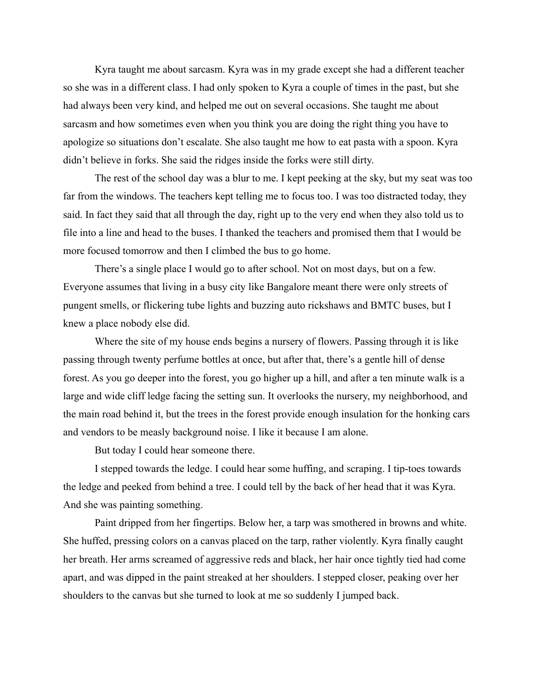Kyra taught me about sarcasm. Kyra was in my grade except she had a different teacher so she was in a different class. I had only spoken to Kyra a couple of times in the past, but she had always been very kind, and helped me out on several occasions. She taught me about sarcasm and how sometimes even when you think you are doing the right thing you have to apologize so situations don't escalate. She also taught me how to eat pasta with a spoon. Kyra didn't believe in forks. She said the ridges inside the forks were still dirty.

The rest of the school day was a blur to me. I kept peeking at the sky, but my seat was too far from the windows. The teachers kept telling me to focus too. I was too distracted today, they said. In fact they said that all through the day, right up to the very end when they also told us to file into a line and head to the buses. I thanked the teachers and promised them that I would be more focused tomorrow and then I climbed the bus to go home.

There's a single place I would go to after school. Not on most days, but on a few. Everyone assumes that living in a busy city like Bangalore meant there were only streets of pungent smells, or flickering tube lights and buzzing auto rickshaws and BMTC buses, but I knew a place nobody else did.

Where the site of my house ends begins a nursery of flowers. Passing through it is like passing through twenty perfume bottles at once, but after that, there's a gentle hill of dense forest. As you go deeper into the forest, you go higher up a hill, and after a ten minute walk is a large and wide cliff ledge facing the setting sun. It overlooks the nursery, my neighborhood, and the main road behind it, but the trees in the forest provide enough insulation for the honking cars and vendors to be measly background noise. I like it because I am alone.

But today I could hear someone there.

I stepped towards the ledge. I could hear some huffing, and scraping. I tip-toes towards the ledge and peeked from behind a tree. I could tell by the back of her head that it was Kyra. And she was painting something.

Paint dripped from her fingertips. Below her, a tarp was smothered in browns and white. She huffed, pressing colors on a canvas placed on the tarp, rather violently. Kyra finally caught her breath. Her arms screamed of aggressive reds and black, her hair once tightly tied had come apart, and was dipped in the paint streaked at her shoulders. I stepped closer, peaking over her shoulders to the canvas but she turned to look at me so suddenly I jumped back.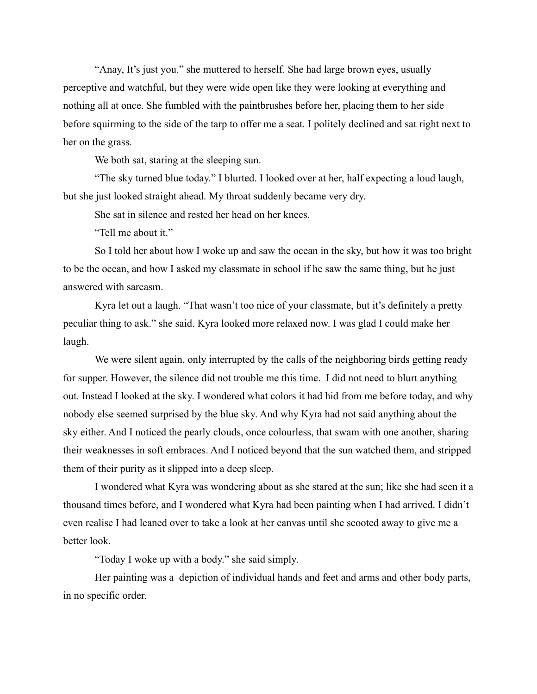"Anay, It's just you." she muttered to herself. She had large brown eyes, usually perceptive and watchful, but they were wide open like they were looking at everything and nothing all at once. She fumbled with the paintbrushes before her, placing them to her side before squirming to the side of the tarp to offer me a seat. I politely declined and sat right next to her on the grass.

We both sat, staring at the sleeping sun.

"The sky turned blue today." I blurted. I looked over at her, half expecting a loud laugh, but she just looked straight ahead. My throat suddenly became very dry.

She sat in silence and rested her head on her knees.

"Tell me about it."

So I told her about how I woke up and saw the ocean in the sky, but how it was too bright to be the ocean, and how I asked my classmate in school if he saw the same thing, but he just answered with sarcasm.

Kyra let out a laugh. "That wasn't too nice of your classmate, but it's definitely a pretty peculiar thing to ask." she said. Kyra looked more relaxed now. I was glad I could make her laugh.

We were silent again, only interrupted by the calls of the neighboring birds getting ready for supper. However, the silence did not trouble me this time. I did not need to blurt anything out. Instead I looked at the sky. I wondered what colors it had hid from me before today, and why nobody else seemed surprised by the blue sky. And why Kyra had not said anything about the sky either. And I noticed the pearly clouds, once colourless, that swam with one another, sharing their weaknesses in soft embraces. And I noticed beyond that the sun watched them, and stripped them of their purity as it slipped into a deep sleep.

I wondered what Kyra was wondering about as she stared at the sun; like she had seen it a thousand times before, and I wondered what Kyra had been painting when I had arrived. I didn't even realise I had leaned over to take a look at her canvas until she scooted away to give me a better look.

"Today I woke up with a body." she said simply.

Her painting was a depiction of individual hands and feet and arms and other body parts, in no specific order.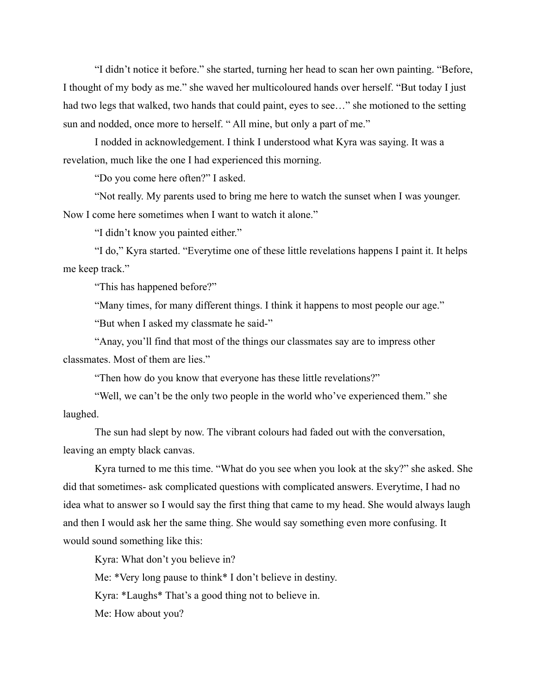"I didn't notice it before." she started, turning her head to scan her own painting. "Before, I thought of my body as me." she waved her multicoloured hands over herself. "But today I just had two legs that walked, two hands that could paint, eyes to see…" she motioned to the setting sun and nodded, once more to herself. "All mine, but only a part of me."

I nodded in acknowledgement. I think I understood what Kyra was saying. It was a revelation, much like the one I had experienced this morning.

"Do you come here often?" I asked.

"Not really. My parents used to bring me here to watch the sunset when I was younger. Now I come here sometimes when I want to watch it alone."

"I didn't know you painted either."

"I do," Kyra started. "Everytime one of these little revelations happens I paint it. It helps me keep track."

"This has happened before?"

"Many times, for many different things. I think it happens to most people our age."

"But when I asked my classmate he said-"

"Anay, you'll find that most of the things our classmates say are to impress other classmates. Most of them are lies."

"Then how do you know that everyone has these little revelations?"

"Well, we can't be the only two people in the world who've experienced them." she laughed.

The sun had slept by now. The vibrant colours had faded out with the conversation, leaving an empty black canvas.

Kyra turned to me this time. "What do you see when you look at the sky?" she asked. She did that sometimes- ask complicated questions with complicated answers. Everytime, I had no idea what to answer so I would say the first thing that came to my head. She would always laugh and then I would ask her the same thing. She would say something even more confusing. It would sound something like this:

Kyra: What don't you believe in?

Me: \*Very long pause to think\* I don't believe in destiny.

Kyra: \*Laughs\* That's a good thing not to believe in.

Me: How about you?